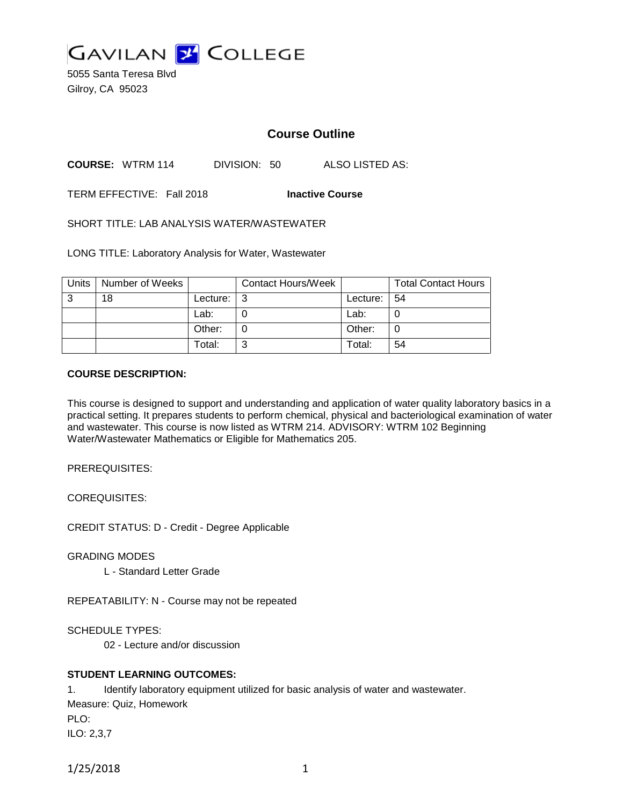

5055 Santa Teresa Blvd Gilroy, CA 95023

# **Course Outline**

**COURSE:** WTRM 114 DIVISION: 50 ALSO LISTED AS:

TERM EFFECTIVE: Fall 2018 **Inactive Course**

SHORT TITLE: LAB ANALYSIS WATER/WASTEWATER

LONG TITLE: Laboratory Analysis for Water, Wastewater

| Units | Number of Weeks |          | <b>Contact Hours/Week</b> |               | <b>Total Contact Hours</b> |
|-------|-----------------|----------|---------------------------|---------------|----------------------------|
| 3     | 18              | Lecture: | l 3                       | Lecture:   54 |                            |
|       |                 | Lab:     |                           | Lab:          |                            |
|       |                 | Other:   |                           | Other:        |                            |
|       |                 | Total:   | ⌒                         | Total:        | 54                         |

#### **COURSE DESCRIPTION:**

This course is designed to support and understanding and application of water quality laboratory basics in a practical setting. It prepares students to perform chemical, physical and bacteriological examination of water and wastewater. This course is now listed as WTRM 214. ADVISORY: WTRM 102 Beginning Water/Wastewater Mathematics or Eligible for Mathematics 205.

PREREQUISITES:

COREQUISITES:

CREDIT STATUS: D - Credit - Degree Applicable

GRADING MODES

L - Standard Letter Grade

REPEATABILITY: N - Course may not be repeated

SCHEDULE TYPES:

02 - Lecture and/or discussion

## **STUDENT LEARNING OUTCOMES:**

1. Identify laboratory equipment utilized for basic analysis of water and wastewater. Measure: Quiz, Homework PLO: ILO: 2,3,7

```
1/25/2018 1
```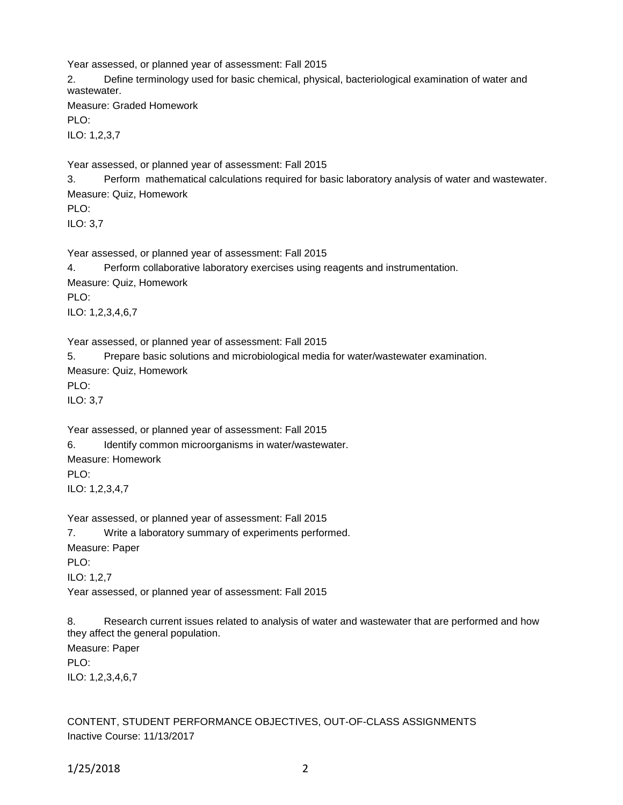Year assessed, or planned year of assessment: Fall 2015

2. Define terminology used for basic chemical, physical, bacteriological examination of water and wastewater.

Measure: Graded Homework

PLO:

ILO: 1,2,3,7

Year assessed, or planned year of assessment: Fall 2015

3. Perform mathematical calculations required for basic laboratory analysis of water and wastewater. Measure: Quiz, Homework

PLO:

ILO: 3,7

Year assessed, or planned year of assessment: Fall 2015

4. Perform collaborative laboratory exercises using reagents and instrumentation.

Measure: Quiz, Homework

PLO:

ILO: 1,2,3,4,6,7

Year assessed, or planned year of assessment: Fall 2015

5. Prepare basic solutions and microbiological media for water/wastewater examination.

Measure: Quiz, Homework

PLO:

ILO: 3,7

Year assessed, or planned year of assessment: Fall 2015

6. Identify common microorganisms in water/wastewater.

Measure: Homework

PLO:

ILO: 1,2,3,4,7

Year assessed, or planned year of assessment: Fall 2015 7. Write a laboratory summary of experiments performed. Measure: Paper PLO:

ILO: 1,2,7

Year assessed, or planned year of assessment: Fall 2015

8. Research current issues related to analysis of water and wastewater that are performed and how they affect the general population. Measure: Paper PLO: ILO: 1,2,3,4,6,7

CONTENT, STUDENT PERFORMANCE OBJECTIVES, OUT-OF-CLASS ASSIGNMENTS Inactive Course: 11/13/2017

1/25/2018 2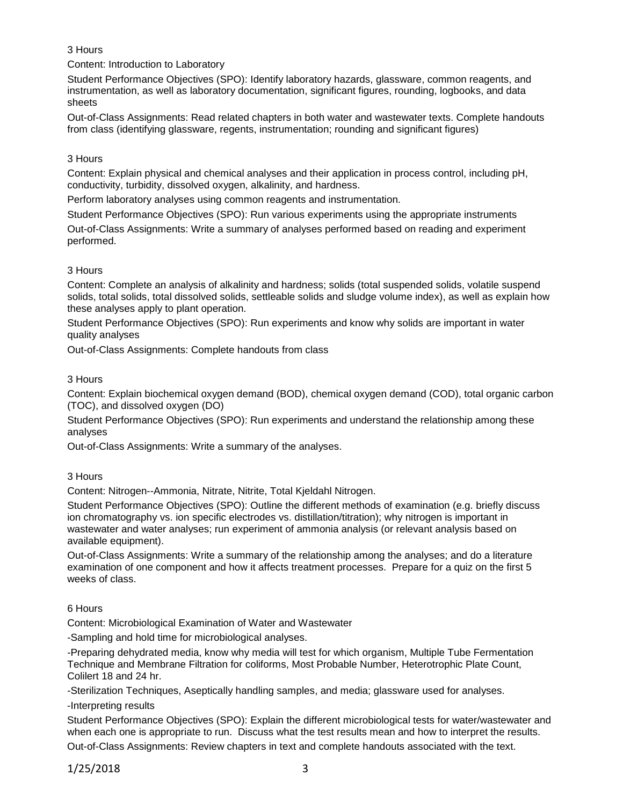## 3 Hours

Content: Introduction to Laboratory

Student Performance Objectives (SPO): Identify laboratory hazards, glassware, common reagents, and instrumentation, as well as laboratory documentation, significant figures, rounding, logbooks, and data sheets

Out-of-Class Assignments: Read related chapters in both water and wastewater texts. Complete handouts from class (identifying glassware, regents, instrumentation; rounding and significant figures)

## 3 Hours

Content: Explain physical and chemical analyses and their application in process control, including pH, conductivity, turbidity, dissolved oxygen, alkalinity, and hardness.

Perform laboratory analyses using common reagents and instrumentation.

Student Performance Objectives (SPO): Run various experiments using the appropriate instruments

Out-of-Class Assignments: Write a summary of analyses performed based on reading and experiment performed.

## 3 Hours

Content: Complete an analysis of alkalinity and hardness; solids (total suspended solids, volatile suspend solids, total solids, total dissolved solids, settleable solids and sludge volume index), as well as explain how these analyses apply to plant operation.

Student Performance Objectives (SPO): Run experiments and know why solids are important in water quality analyses

Out-of-Class Assignments: Complete handouts from class

## 3 Hours

Content: Explain biochemical oxygen demand (BOD), chemical oxygen demand (COD), total organic carbon (TOC), and dissolved oxygen (DO)

Student Performance Objectives (SPO): Run experiments and understand the relationship among these analyses

Out-of-Class Assignments: Write a summary of the analyses.

## 3 Hours

Content: Nitrogen--Ammonia, Nitrate, Nitrite, Total Kjeldahl Nitrogen.

Student Performance Objectives (SPO): Outline the different methods of examination (e.g. briefly discuss ion chromatography vs. ion specific electrodes vs. distillation/titration); why nitrogen is important in wastewater and water analyses; run experiment of ammonia analysis (or relevant analysis based on available equipment).

Out-of-Class Assignments: Write a summary of the relationship among the analyses; and do a literature examination of one component and how it affects treatment processes. Prepare for a quiz on the first 5 weeks of class.

## 6 Hours

Content: Microbiological Examination of Water and Wastewater

-Sampling and hold time for microbiological analyses.

-Preparing dehydrated media, know why media will test for which organism, Multiple Tube Fermentation Technique and Membrane Filtration for coliforms, Most Probable Number, Heterotrophic Plate Count, Colilert 18 and 24 hr.

-Sterilization Techniques, Aseptically handling samples, and media; glassware used for analyses. -Interpreting results

Student Performance Objectives (SPO): Explain the different microbiological tests for water/wastewater and when each one is appropriate to run. Discuss what the test results mean and how to interpret the results. Out-of-Class Assignments: Review chapters in text and complete handouts associated with the text.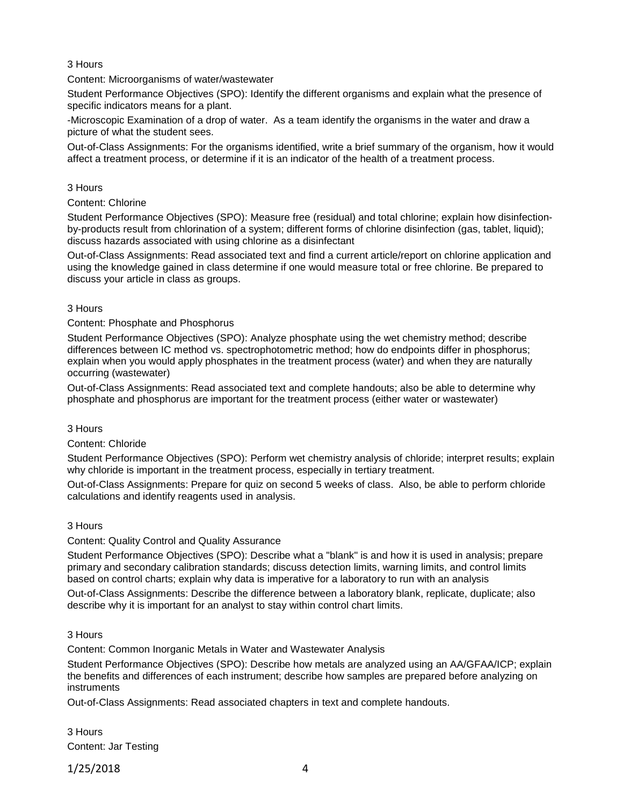## 3 Hours

Content: Microorganisms of water/wastewater

Student Performance Objectives (SPO): Identify the different organisms and explain what the presence of specific indicators means for a plant.

-Microscopic Examination of a drop of water. As a team identify the organisms in the water and draw a picture of what the student sees.

Out-of-Class Assignments: For the organisms identified, write a brief summary of the organism, how it would affect a treatment process, or determine if it is an indicator of the health of a treatment process.

#### 3 Hours

Content: Chlorine

Student Performance Objectives (SPO): Measure free (residual) and total chlorine; explain how disinfectionby-products result from chlorination of a system; different forms of chlorine disinfection (gas, tablet, liquid); discuss hazards associated with using chlorine as a disinfectant

Out-of-Class Assignments: Read associated text and find a current article/report on chlorine application and using the knowledge gained in class determine if one would measure total or free chlorine. Be prepared to discuss your article in class as groups.

#### 3 Hours

Content: Phosphate and Phosphorus

Student Performance Objectives (SPO): Analyze phosphate using the wet chemistry method; describe differences between IC method vs. spectrophotometric method; how do endpoints differ in phosphorus; explain when you would apply phosphates in the treatment process (water) and when they are naturally occurring (wastewater)

Out-of-Class Assignments: Read associated text and complete handouts; also be able to determine why phosphate and phosphorus are important for the treatment process (either water or wastewater)

#### 3 Hours

Content: Chloride

Student Performance Objectives (SPO): Perform wet chemistry analysis of chloride; interpret results; explain why chloride is important in the treatment process, especially in tertiary treatment.

Out-of-Class Assignments: Prepare for quiz on second 5 weeks of class. Also, be able to perform chloride calculations and identify reagents used in analysis.

## 3 Hours

Content: Quality Control and Quality Assurance

Student Performance Objectives (SPO): Describe what a "blank" is and how it is used in analysis; prepare primary and secondary calibration standards; discuss detection limits, warning limits, and control limits based on control charts; explain why data is imperative for a laboratory to run with an analysis

Out-of-Class Assignments: Describe the difference between a laboratory blank, replicate, duplicate; also describe why it is important for an analyst to stay within control chart limits.

## 3 Hours

Content: Common Inorganic Metals in Water and Wastewater Analysis

Student Performance Objectives (SPO): Describe how metals are analyzed using an AA/GFAA/ICP; explain the benefits and differences of each instrument; describe how samples are prepared before analyzing on instruments

Out-of-Class Assignments: Read associated chapters in text and complete handouts.

3 Hours Content: Jar Testing

1/25/2018 4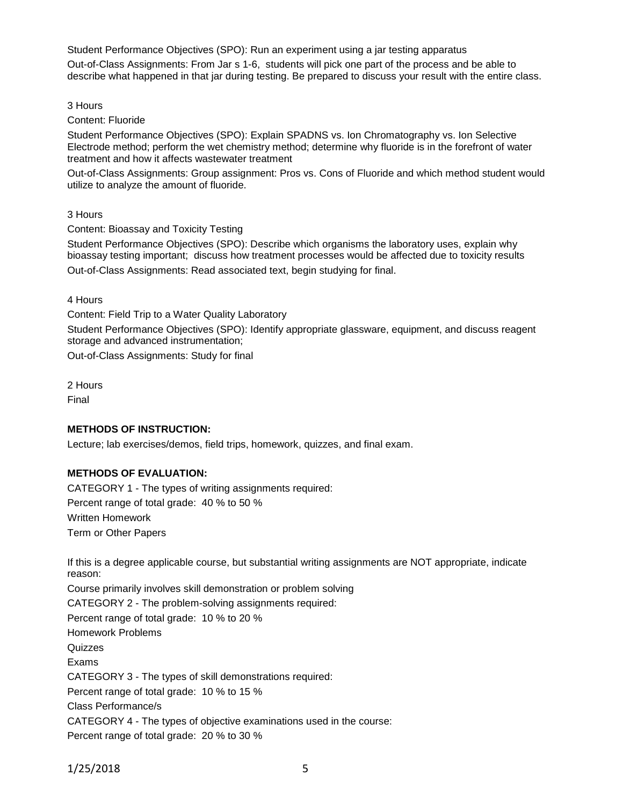Student Performance Objectives (SPO): Run an experiment using a jar testing apparatus Out-of-Class Assignments: From Jar s 1-6, students will pick one part of the process and be able to describe what happened in that jar during testing. Be prepared to discuss your result with the entire class.

3 Hours

Content: Fluoride

Student Performance Objectives (SPO): Explain SPADNS vs. Ion Chromatography vs. Ion Selective Electrode method; perform the wet chemistry method; determine why fluoride is in the forefront of water treatment and how it affects wastewater treatment

Out-of-Class Assignments: Group assignment: Pros vs. Cons of Fluoride and which method student would utilize to analyze the amount of fluoride.

3 Hours

Content: Bioassay and Toxicity Testing

Student Performance Objectives (SPO): Describe which organisms the laboratory uses, explain why bioassay testing important; discuss how treatment processes would be affected due to toxicity results Out-of-Class Assignments: Read associated text, begin studying for final.

4 Hours

Content: Field Trip to a Water Quality Laboratory

Student Performance Objectives (SPO): Identify appropriate glassware, equipment, and discuss reagent storage and advanced instrumentation;

Out-of-Class Assignments: Study for final

2 Hours Final

#### **METHODS OF INSTRUCTION:**

Lecture; lab exercises/demos, field trips, homework, quizzes, and final exam.

## **METHODS OF EVALUATION:**

CATEGORY 1 - The types of writing assignments required: Percent range of total grade: 40 % to 50 % Written Homework Term or Other Papers

If this is a degree applicable course, but substantial writing assignments are NOT appropriate, indicate reason:

Course primarily involves skill demonstration or problem solving CATEGORY 2 - The problem-solving assignments required: Percent range of total grade: 10 % to 20 % Homework Problems **Quizzes** Exams CATEGORY 3 - The types of skill demonstrations required: Percent range of total grade: 10 % to 15 % Class Performance/s CATEGORY 4 - The types of objective examinations used in the course: Percent range of total grade: 20 % to 30 %

1/25/2018 5